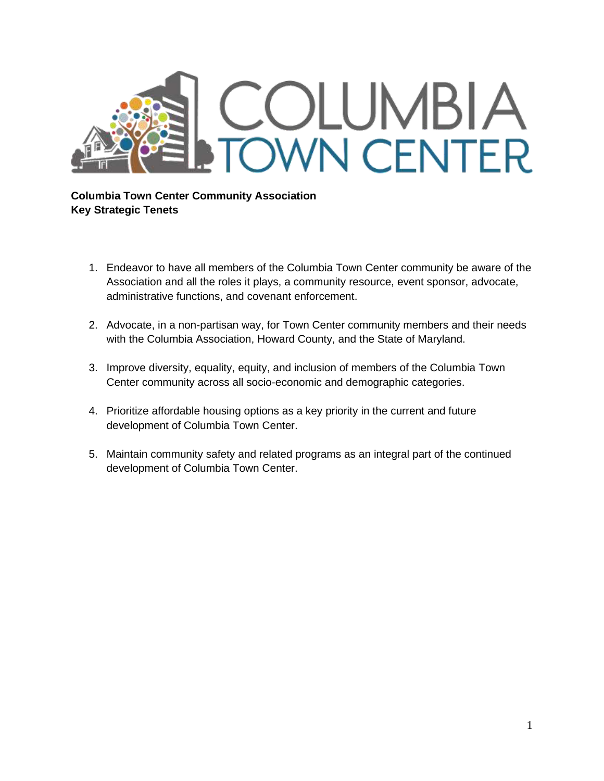

## **Columbia Town Center Community Association Key Strategic Tenets**

- 1. Endeavor to have all members of the Columbia Town Center community be aware of the Association and all the roles it plays, a community resource, event sponsor, advocate, administrative functions, and covenant enforcement.
- 2. Advocate, in a non-partisan way, for Town Center community members and their needs with the Columbia Association, Howard County, and the State of Maryland.
- 3. Improve diversity, equality, equity, and inclusion of members of the Columbia Town Center community across all socio-economic and demographic categories.
- 4. Prioritize affordable housing options as a key priority in the current and future development of Columbia Town Center.
- 5. Maintain community safety and related programs as an integral part of the continued development of Columbia Town Center.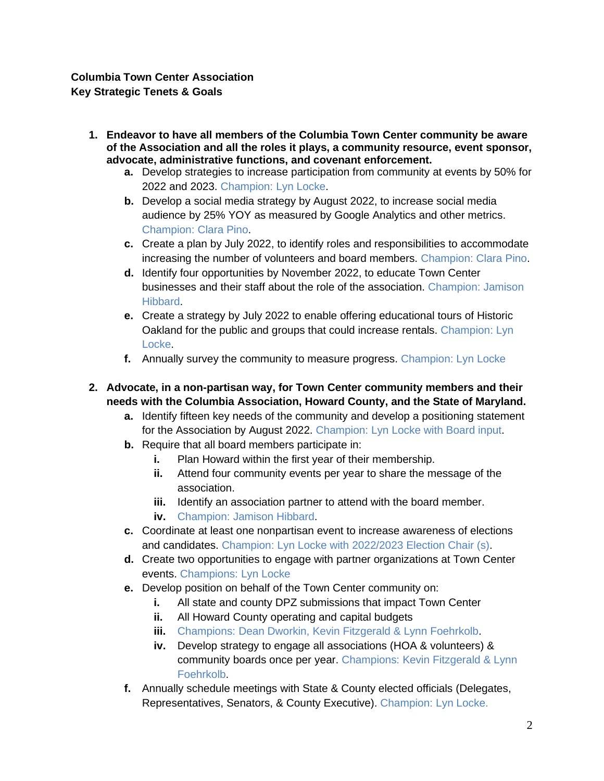## **Columbia Town Center Association Key Strategic Tenets & Goals**

- **1. Endeavor to have all members of the Columbia Town Center community be aware of the Association and all the roles it plays, a community resource, event sponsor, advocate, administrative functions, and covenant enforcement.**
	- **a.** Develop strategies to increase participation from community at events by 50% for 2022 and 2023. Champion: Lyn Locke.
	- **b.** Develop a social media strategy by August 2022, to increase social media audience by 25% YOY as measured by Google Analytics and other metrics. Champion: Clara Pino.
	- **c.** Create a plan by July 2022, to identify roles and responsibilities to accommodate increasing the number of volunteers and board members. Champion: Clara Pino.
	- **d.** Identify four opportunities by November 2022, to educate Town Center businesses and their staff about the role of the association. Champion: Jamison Hibbard.
	- **e.** Create a strategy by July 2022 to enable offering educational tours of Historic Oakland for the public and groups that could increase rentals. Champion: Lyn Locke.
	- **f.** Annually survey the community to measure progress. Champion: Lyn Locke
- **2. Advocate, in a non-partisan way, for Town Center community members and their needs with the Columbia Association, Howard County, and the State of Maryland.**
	- **a.** Identify fifteen key needs of the community and develop a positioning statement for the Association by August 2022. Champion: Lyn Locke with Board input.
	- **b.** Require that all board members participate in:
		- **i.** Plan Howard within the first year of their membership.
		- **ii.** Attend four community events per year to share the message of the association.
		- **iii.** Identify an association partner to attend with the board member.
		- **iv.** Champion: Jamison Hibbard.
	- **c.** Coordinate at least one nonpartisan event to increase awareness of elections and candidates. Champion: Lyn Locke with 2022/2023 Election Chair (s).
	- **d.** Create two opportunities to engage with partner organizations at Town Center events. Champions: Lyn Locke
	- **e.** Develop position on behalf of the Town Center community on:
		- **i.** All state and county DPZ submissions that impact Town Center
		- **ii.** All Howard County operating and capital budgets
		- **iii.** Champions: Dean Dworkin, Kevin Fitzgerald & Lynn Foehrkolb.
		- **iv.** Develop strategy to engage all associations (HOA & volunteers) & community boards once per year. Champions: Kevin Fitzgerald & Lynn Foehrkolb.
	- **f.** Annually schedule meetings with State & County elected officials (Delegates, Representatives, Senators, & County Executive). Champion: Lyn Locke.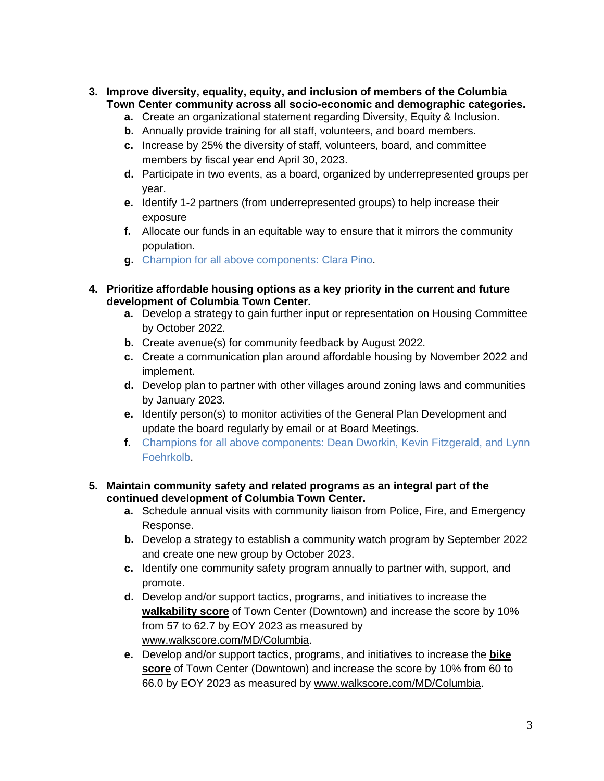- **3. Improve diversity, equality, equity, and inclusion of members of the Columbia Town Center community across all socio-economic and demographic categories.**
	- **a.** Create an organizational statement regarding Diversity, Equity & Inclusion.
	- **b.** Annually provide training for all staff, volunteers, and board members.
	- **c.** Increase by 25% the diversity of staff, volunteers, board, and committee members by fiscal year end April 30, 2023.
	- **d.** Participate in two events, as a board, organized by underrepresented groups per year.
	- **e.** Identify 1-2 partners (from underrepresented groups) to help increase their exposure
	- **f.** Allocate our funds in an equitable way to ensure that it mirrors the community population.
	- **g.** Champion for all above components: Clara Pino.

### **4. Prioritize affordable housing options as a key priority in the current and future development of Columbia Town Center.**

- **a.** Develop a strategy to gain further input or representation on Housing Committee by October 2022.
- **b.** Create avenue(s) for community feedback by August 2022.
- **c.** Create a communication plan around affordable housing by November 2022 and implement.
- **d.** Develop plan to partner with other villages around zoning laws and communities by January 2023.
- **e.** Identify person(s) to monitor activities of the General Plan Development and update the board regularly by email or at Board Meetings.
- **f.** Champions for all above components: Dean Dworkin, Kevin Fitzgerald, and Lynn Foehrkolb.

#### **5. Maintain community safety and related programs as an integral part of the continued development of Columbia Town Center.**

- **a.** Schedule annual visits with community liaison from Police, Fire, and Emergency Response.
- **b.** Develop a strategy to establish a community watch program by September 2022 and create one new group by October 2023.
- **c.** Identify one community safety program annually to partner with, support, and promote.
- **d.** Develop and/or support tactics, programs, and initiatives to increase the **walkability score** of Town Center (Downtown) and increase the score by 10% from 57 to 62.7 by EOY 2023 as measured by [www.walkscore.com/MD/Columbia.](https://www.walkscore.com/MD/Columbia)
- **e.** Develop and/or support tactics, programs, and initiatives to increase the **bike score** of Town Center (Downtown) and increase the score by 10% from 60 to 66.0 by EOY 2023 as measured by [www.walkscore.com/MD/Columbia.](http://www.walkscore.com/MD/Columbia)